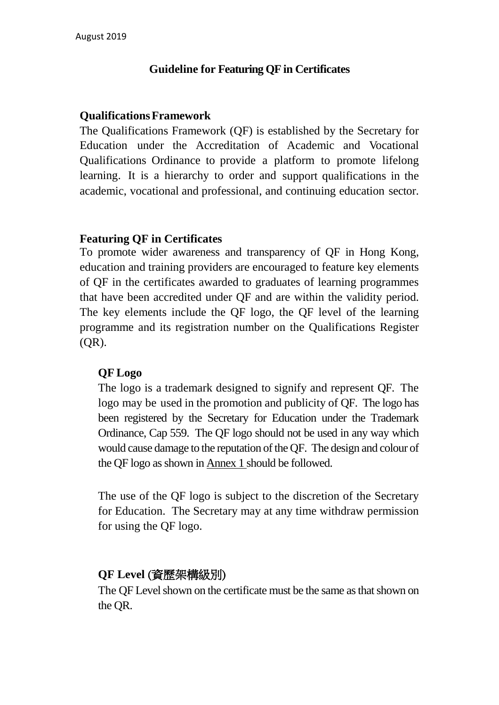## **Guideline for Featuring QF in Certificates**

### **QualificationsFramework**

The Qualifications Framework (QF) is established by the Secretary for Education under the Accreditation of Academic and Vocational Qualifications Ordinance to provide a platform to promote lifelong learning. It is a hierarchy to order and support qualifications in the academic, vocational and professional, and continuing education sector.

## **Featuring QF in Certificates**

To promote wider awareness and transparency of QF in Hong Kong, education and training providers are encouraged to feature key elements of QF in the certificates awarded to graduates of learning programmes that have been accredited under QF and are within the validity period. The key elements include the QF logo, the QF level of the learning programme and its registration number on the Qualifications Register (QR).

## **QF Logo**

The logo is a trademark designed to signify and represent QF. The logo may be used in the promotion and publicity of QF. The logo has been registered by the Secretary for Education under the Trademark Ordinance, Cap 559. The QF logo should not be used in any way which would cause damage to the reputation of the QF. The design and colour of the QF logo as shown in Annex 1 should be followed.

The use of the QF logo is subject to the discretion of the Secretary for Education. The Secretary may at any time withdraw permission for using the QF logo.

## **QF Level** (資歷架構級別)

The QF Level shown on the certificate must be the same as that shown on the QR.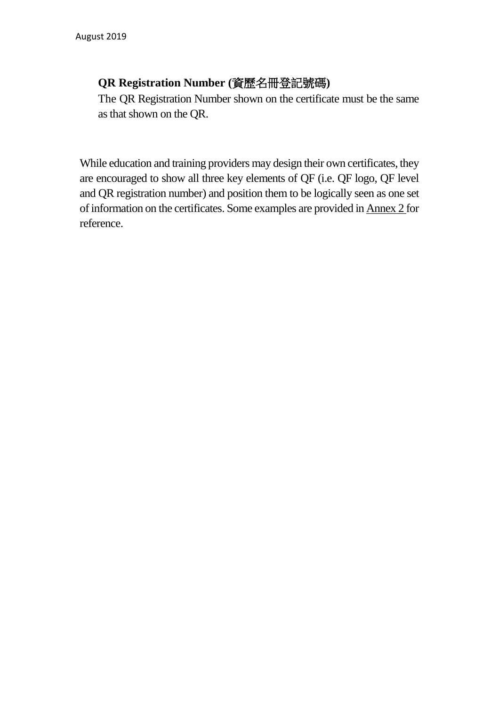## **QR Registration Number (**資歷名冊登記號碼**)**

The QR Registration Number shown on the certificate must be the same as that shown on the QR.

While education and training providers may design their own certificates, they are encouraged to show all three key elements of QF (i.e. QF logo, QF level and QR registration number) and position them to be logically seen as one set of information on the certificates. Some examples are provided in Annex 2 for reference.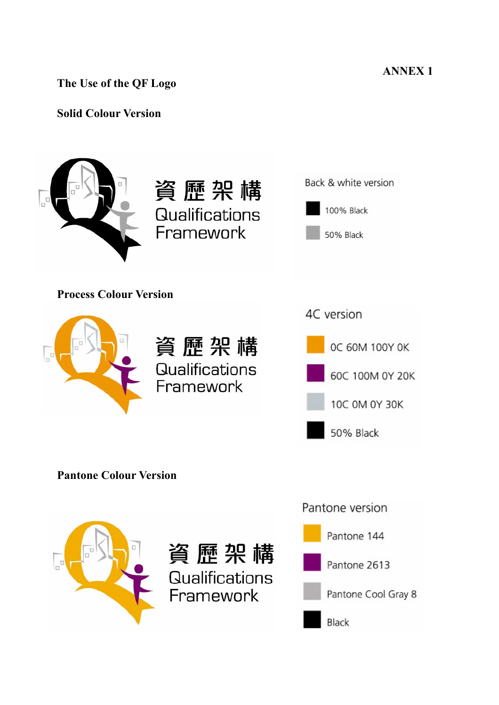**ANNEX 1** 

**The Use of the QF Logo** 

## **Solid Colour Version**



**Process Colour Version** 

資歷架構 **Qualifications** Framework

資歷架構

**Qualifications** 

Framework







**Pantone Colour Version** 

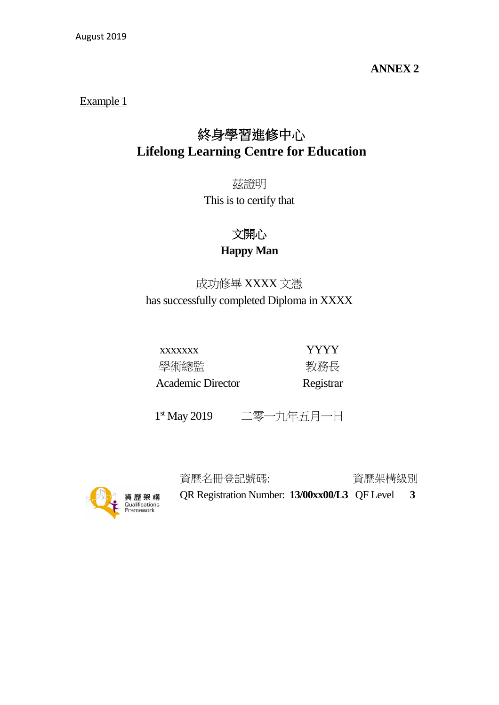### **ANNEX 2**

#### Example 1

# 終身學習進修中心 **Lifelong Learning Centre for Education**

茲證明 This is to certify that

> 文開心 **Happy Man**

成功修畢 XXXX 文憑 has successfully completed Diploma in XXXX

xxxxxxx YYYY 學術總監 **Manual State State** 教務長 Academic Director Registrar

1st May 2019 二零一九年五月一日



資歷名冊登記號碼: 資歷架構級別

QR Registration Number: **13/00xx00/L3** QF Level **3**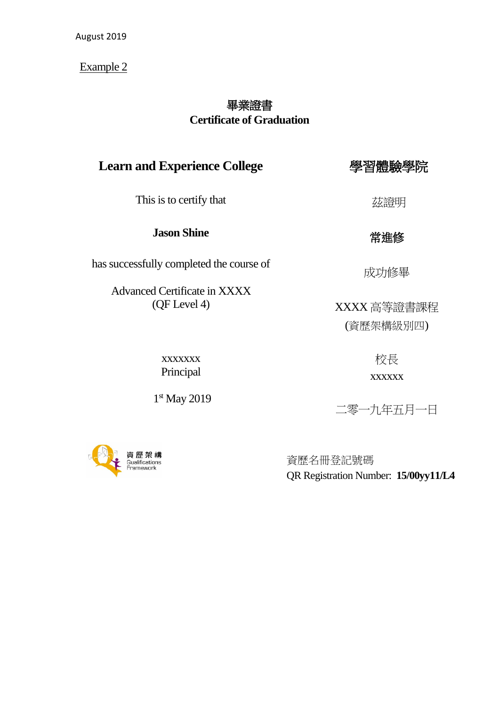Example 2

# 畢業證書 **Certificate of Graduation**

# **Learn and Experience College**

This is to certify that

#### **Jason Shine**

has successfully completed the course of

Advanced Certificate in XXXX (QF Level 4)

茲證明

學習體驗學院

# 常進修

成功修畢

XXXX 高等證書課程 (資歷架構級別四)

xxxxxxx Principal

1st May 2019

**貪 歷 架 構** Qualifications<br>Framework

# 校長 xxxxxx

二零一九年五月一日

資歷名冊登記號碼 QR Registration Number: **15/00yy11/L4**